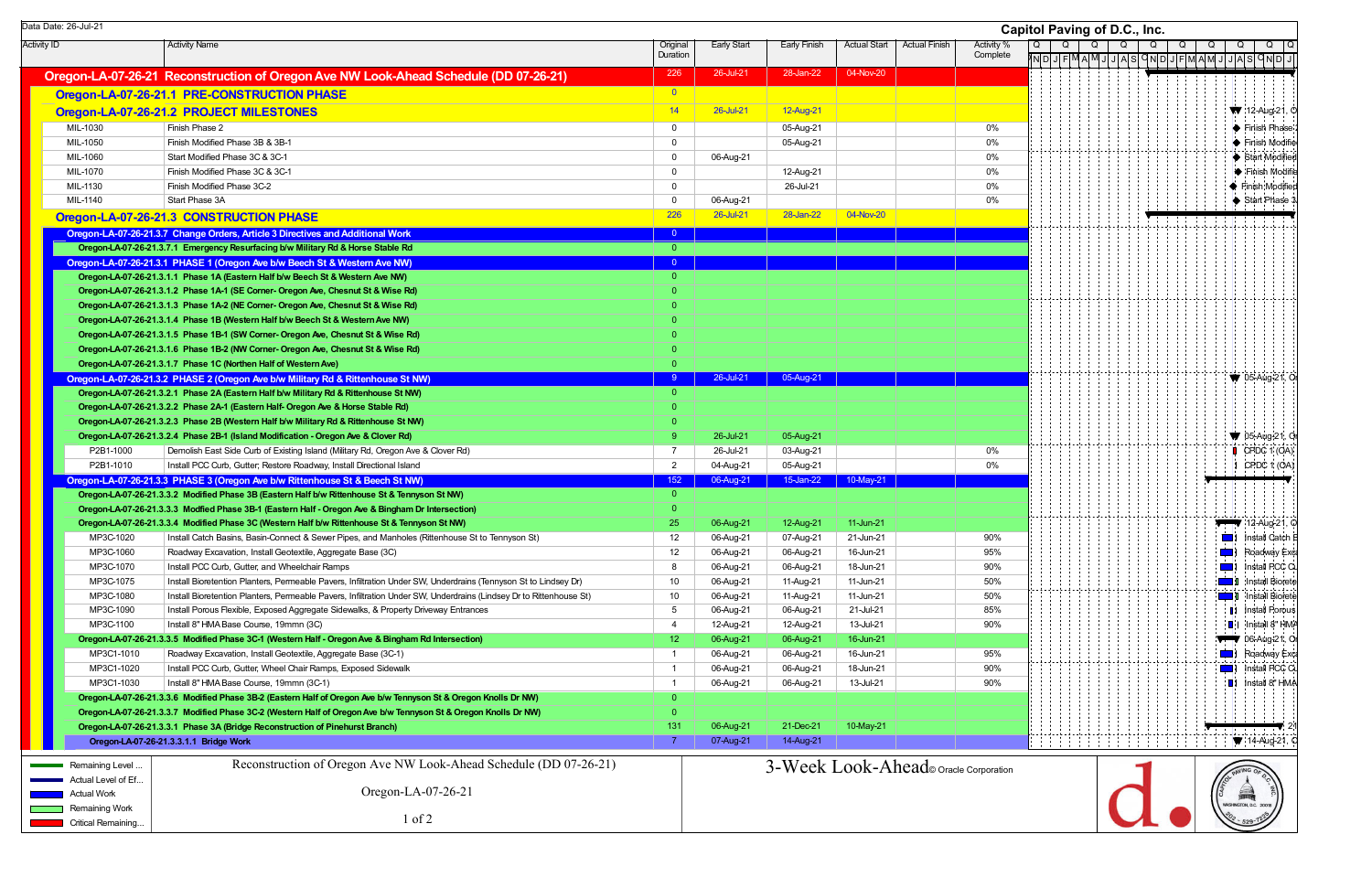Activity ID Activity Name Activity Name Activity Name Activity ID Activity ID Activity ID Activity Name Activity Name Activity ID Activity ID Activity ID Activity ID Activity ID Activity ID Activity ID Activity ID Activity Duration Early Start | Early Finish | Actual Start | Actual Finish | Activity % **Complete Oregon-LA-07-26-21 Reconstruction of Oregon Ave NW Look-Ahead Schedule (DD 07-26-21)** 226 28-Jul-21 28-Jul-21 28-Jan-22 04-Nov-20 **Oregon-LA-07-26-21.1 PRE-CONSTRUCTION PHASE CONSTRUCTION PHASE Oregon-LA-07-26-21.2 PROJECT MILESTONES 2014 12-Aug-21** 26-Jul-21 12-Aug-21 26-Jul-21 12-Aug-21 MIL-1030 Finish Phase 2 0 05-Aug-21 0% MIL-1050 Finish Modified Phase 3B & 3B-1 0 05-Aug-21 0% MIL-1060 Start Modified Phase 3C & 3C-1 0 06-Aug-21 0% MIL-1070Finish Modified Phase 3C & 3C-1 0 0 12-Aug-21 0 12-Aug-21 0 12-Aug-21 0 12-Aug-21 0 12-Aug-21 0 12-Aug-21 0 12-Aug-21 0 12-Aug-21 0 12-Aug-21 0 12-Aug-21 0 12-Aug-21 0 12-Aug-21 0 12-Aug-21 0 12-Aug-21 0 12-Aug-21 0 12-Aug MIL-1130 Finish Modified Phase 3C-2 0 26-Jul-21 0%MIL-1140 Start Phase 3AA the contract of the contract of  $\begin{array}{|c|c|c|c|c|}\hline \text{O} & \text{O6-Aug-21} & \text{O} & \text{O6-Aug-21} \hline \end{array}$ **Oregon-LA-07-26-21.3 CONSTRUCTION PHASE** 226 26-Jul-21 226 26-Jul-21 28-Jul-21 28-Jul-21 28-Jan-22 34-Nov-20 **Oregon-LA-07-26-21. Oregon-LA-07-26-21.3.7 Change Orders, Article 3 Directi 3 ves and Additional Work** <sup>0</sup> **Oregon-LA-07-26-21 Oregon-LA-07-26-21.3.7.1 Emergency Resurfacing b/w M . ilitary Rd & Horse Stable Rd** 0 **Oregon-LA-07-26-21. Oregon-LA-07-26-21.3.1 PHASE 1 (Oregon Ave b/w B 3 eech St & Western Ave NW)** <sup>0</sup> **Oregon-LA-07-26-21.3.1.1 Phase 1A (Eastern Half b/w Beech St & Western Ave NW) Oregon-LA-07-26-21.3.1.2 Phase 1A-1 (SE Corner- Oregon Ave, Chesnut St & Wise Rd) Oregon-LA-07-26-21.3.1.3 Phase 1A-2 (NE Corner- Oregon Ave, Chesnut St & Wise Rd) Oregon-LA-07-26-21.3.1.4 Phase 1B (Western Half b/w Beech St & Western Ave NW) Oregon-LA-07-26-21.3.1.5 Phase 1B-1 (SW Corner- Oregon Ave, Chesnut St & Wise Rd) Oregon-LA-07-26-21.3.1.6 Phase 1B-2 (NW Corner- Oregon Ave, Chesnut St & Wise Rd) Oregon-LA-07-26-21.3.1.7 Phase 1C (Northen Half of Western Ave) Oregon-LA-07-26-21. Oregon-LA-07-26-21.3.2 PHASE 2 (Oregon Ave b/w Military Rd & Rittenhouse St NW) 3** <sup>9</sup> 26-Jul-21 05-Aug-21 **Oregon-LA-07-26-21.3.2.1 Phase 2A (Eastern Half b/w Military Rd & Rittenhouse St NW) Oregon-LA-07-26-21.3.2.2 Phase 2A-1 (Eastern Half- Oregon Ave & Horse Stable Rd) Oregon-LA-07-26-21.3.2.3 Phase 2B (Western Half b/w Military Rd & Rittenhouse St NW) Oregon-LA-07-26-21.3.2.4 Phase 2B-1 (Island Modification - Oregon Ave & Clover Rd)** 9 26-Jul-21 05-Aug-21 05-Aug-21 P2B1-1000 Demolish East Side Curb of Existing Island (Military Rd, Oregon Ave & Clover Rd) 7 26-Jul-21 03-Aug-21 0% P2B1-1010Install PCC Curb, Gutter; Restore Roadway, Install Directional Island 0% and 2 04-Aug-21 05-Aug-21 05-Aug-21 05-Aug-21 0% **Oregon-LA-07-26-21.3.3 PHASE 3 (Oregon Ave b/w Rittenhouse St & Beech St NW)** 152 152 06-Aug-21 15-Jan-22 15-Jan-22 10-May-21 **Oregon-LA-07-26-21 Oregon-LA-07-26-21.3.3.2 Modified Ph . ase 3B (Eastern Half b/w Rittenhouse St & Tennyson St NW)** 0 **Oregon-LA-07-26-21 Oregon-LA-07-26-21.3.3.3 Modfied Ph . ase 3B-1 (Eastern Half - Oregon Ave & Bingham Dr Intersection)** 0 **Oregon-LA-07-26-21.3.3.4 Modified Phase 3C (Western Half b/w Rittenhouse St & Tennyson St NW)** 25 06-Aug-21 12-Aug-21 11-Jun-21 11-Jun-21 MP3C-1020Install Catch Basins, Basin-Connect & Sewer Pipes, and Manholes (Rittenhouse St to Tennyson St) 12 06-Aug-21 07-Aug-21 21-Jun-21 90% MP3C-1060Roadway Excavation, Install Geotextile, Aggregate Base (3C) 12 06-Aug-21 06-Aug-21 16-Jun-21 95% MP3C-1070 Install PCC Curb, Gutter, and Wheelchair Ramps 8 06-Aug-21 06-Aug-21 18-Jun-21 90% MP3C-1075 Install Bioretention Planters, Permeable Pavers, Infiltration Under SW, Underdrains (Tennyson St to Lindsey Dr) 10 06-Aug-21 11-Aug-21 11-Jun-21 50% MP3C-1080Install Bioretention Planters, Permeable Pavers, Infiltration Under SW, Underdrains (Lindsey Dr to Rittenhouse St) 10 06-Aug-21 11-Aug-21 11-Jun-21 50% MP3C-1090Install Porous Flexible, Exposed Aggregate Sidewalks, & Property Driveway Entrances 6 06-Aug-21 06-Aug-21 21-Jul-21 21-Jul-21 85% MP3C-1100 Install 8" HMA Base Course, 19mmn (3C) 4 12-Aug-21 12-Aug-21 13-Jul-21 90% **Oregon-LA-07-26-21.3.3.5 Modified Phase 3C-1 (Western Half - Oregon Ave & Bingham Rd Intersection) 12 06-Aug-21 06-Aug-21 06-Aug-21 16-Jun-21** MP3C1-1010Roadway Excavation, Install Geotextile, Aggregate Base (3C-1) 1 06-Aug-21 06-Aug-21 06-Aug-21 16-Jun-21 95% MP3C1-1020 Install PCC Curb, Gutter, Wheel Chair Ramps, Exposed Sidewalk 1 06-Aug-21 06-Aug-21 18-Jun-21 90% MP3C1-1030 Install 8" HMA Base Course, 19mmn (3C-1) 1 06-Aug-21 06-Aug-21 13-Jul-21 90% **Oregon-LA-07-26-21.3.3.6 Modified Phase 3B-2 (Eastern Half of Oregon Ave b/w Tennyson St & Oregon Knolls Dr NW)** 0 **Oregon-LA-07-26-21.3.3.7 Modified Phase 3C-2 (Western Half of Oregon Ave b/w Tennyson St & Oregon Knolls Dr NW)** 0 **Oregon-LA-07-26-21.3.3.1 Phase 3A (Bridge Reconstruction of Pinehurst Branch)** 131 06-Aug-21 21-Dec-21 21-Dec-21 10-May-21 **Oregon-LA-07-26 Oregon-LA-07-26-21.3.3.1.1 Bridge Work -** 7 07-Aug-21 14-Aug-21 Data Date: 26-Jul-21 **Capitol Paving of D.C., Inc.** Remaining Level Actual Level of Ef...Actual Work**Remaining Work** Critical Remaining... Reconstruction of Oregon Ave NW Look-Ahead Schedule (DD 07-26-21) Oregon-LA-07-26-21 1 of 23-Week Look-Ahead© Oracle Corporation

| apitol Paving of D.C., Inc. |   |    |   |   |  |   |  |          |  |   |                |   |                  |   |                |                        |  |             |  |            |                        |
|-----------------------------|---|----|---|---|--|---|--|----------|--|---|----------------|---|------------------|---|----------------|------------------------|--|-------------|--|------------|------------------------|
|                             | Q |    |   | Q |  | Q |  | Q        |  | Q |                | Q |                  | Q |                | Q                      |  | Q<br>JASQND |  |            | Q                      |
|                             |   | ND | J |   |  |   |  | FMAMJJAS |  |   |                |   | <u>ONDJFMAMJ</u> |   |                |                        |  |             |  |            | J                      |
|                             |   |    |   |   |  |   |  |          |  |   |                |   |                  |   |                |                        |  |             |  |            |                        |
|                             |   |    |   |   |  |   |  |          |  |   |                |   |                  |   |                |                        |  |             |  |            |                        |
|                             |   |    |   |   |  |   |  |          |  |   |                |   |                  |   |                |                        |  |             |  |            | 12-Aug-21, O           |
|                             |   |    |   |   |  |   |  |          |  |   |                |   |                  |   |                |                        |  |             |  |            | Finish Phase           |
|                             |   |    |   |   |  |   |  |          |  |   |                |   |                  |   |                |                        |  |             |  |            | Finish Modifie         |
|                             |   |    |   |   |  |   |  |          |  |   |                |   |                  |   |                |                        |  |             |  |            | Start Modified         |
|                             |   |    |   |   |  |   |  |          |  |   |                |   |                  |   |                |                        |  |             |  |            | Finish Modifie         |
|                             |   |    |   |   |  |   |  |          |  |   |                |   |                  |   |                |                        |  |             |  |            | Finish Modified        |
|                             |   |    |   |   |  |   |  |          |  |   |                |   |                  |   |                |                        |  |             |  |            | Start Phase 3          |
|                             |   |    |   |   |  |   |  |          |  |   |                |   |                  |   |                |                        |  |             |  |            |                        |
|                             |   |    |   |   |  |   |  |          |  |   |                |   |                  |   |                |                        |  |             |  |            |                        |
|                             |   |    |   |   |  |   |  |          |  |   |                |   |                  |   |                |                        |  |             |  |            |                        |
|                             |   |    |   |   |  |   |  |          |  |   |                |   |                  |   |                |                        |  |             |  |            |                        |
|                             |   |    |   |   |  |   |  |          |  |   |                |   |                  |   |                |                        |  |             |  |            |                        |
|                             |   |    |   |   |  |   |  |          |  |   |                |   |                  |   |                |                        |  |             |  |            |                        |
|                             |   |    |   |   |  |   |  |          |  |   |                |   |                  |   |                |                        |  |             |  |            |                        |
|                             |   |    |   |   |  |   |  |          |  |   |                |   |                  |   |                |                        |  |             |  |            |                        |
|                             |   |    |   |   |  |   |  |          |  |   |                |   |                  |   |                |                        |  |             |  |            |                        |
|                             |   |    |   |   |  |   |  |          |  |   |                |   |                  |   |                |                        |  |             |  |            |                        |
|                             |   |    |   |   |  |   |  |          |  |   |                |   |                  |   |                |                        |  |             |  |            |                        |
|                             |   |    |   |   |  |   |  |          |  |   |                |   |                  |   |                |                        |  |             |  | 05-Aug-21, | Οŗ                     |
|                             |   |    |   |   |  |   |  |          |  |   |                |   |                  |   |                |                        |  |             |  |            |                        |
|                             |   |    |   |   |  |   |  |          |  |   |                |   |                  |   |                |                        |  |             |  |            |                        |
|                             |   |    |   |   |  |   |  |          |  |   |                |   |                  |   |                |                        |  |             |  |            |                        |
|                             |   |    |   |   |  |   |  |          |  |   |                |   |                  |   |                | N                      |  |             |  |            | 05-Aug-21, Or          |
|                             |   |    |   |   |  |   |  |          |  |   |                |   |                  |   |                | U                      |  |             |  |            | CPDC 1 (OA)            |
|                             |   |    |   |   |  |   |  |          |  |   |                |   |                  |   |                | 1                      |  |             |  |            | CPDC 1 (OA)            |
|                             |   |    |   |   |  |   |  |          |  |   |                |   |                  |   |                |                        |  |             |  |            |                        |
|                             |   |    |   |   |  |   |  |          |  |   |                |   |                  |   |                |                        |  |             |  |            |                        |
|                             |   |    |   |   |  |   |  |          |  |   |                |   |                  |   |                |                        |  |             |  |            | $12$ -Aug-21, O        |
|                             |   |    |   |   |  |   |  |          |  |   |                |   |                  |   |                | N                      |  |             |  |            | Install Catch E        |
|                             |   |    |   |   |  |   |  |          |  |   |                |   |                  |   |                | Ţ.                     |  |             |  |            | Roadway Exc            |
|                             |   |    |   |   |  |   |  |          |  |   |                |   |                  |   |                | ij.                    |  |             |  |            | Install PCC Cu         |
|                             |   |    |   |   |  |   |  |          |  |   |                |   |                  |   |                | J                      |  |             |  |            | Install Biorete        |
|                             |   |    |   |   |  |   |  |          |  |   |                |   |                  |   |                | IJ                     |  |             |  |            | <b>Install Biorete</b> |
|                             |   |    |   |   |  |   |  |          |  |   |                |   |                  |   | H              |                        |  |             |  |            | Install Porous         |
|                             |   |    |   |   |  |   |  |          |  |   |                |   |                  |   | $\blacksquare$ |                        |  |             |  |            | Install 8" HMA         |
|                             |   |    |   |   |  |   |  |          |  |   |                |   |                  |   |                |                        |  |             |  |            | 06-Aug-21, Or          |
|                             |   |    |   |   |  |   |  |          |  |   |                |   |                  |   |                | 4                      |  |             |  |            | Roadway Exc            |
|                             |   |    |   |   |  |   |  |          |  |   |                |   |                  |   |                | ij.                    |  |             |  |            | Install PCC Cu         |
|                             |   |    |   |   |  |   |  |          |  |   |                |   |                  |   | ∎              |                        |  |             |  |            | Install 8" HMA         |
|                             |   |    |   |   |  |   |  |          |  |   |                |   |                  |   |                |                        |  |             |  |            |                        |
|                             |   |    |   |   |  |   |  |          |  |   |                |   |                  |   |                |                        |  |             |  |            |                        |
|                             |   |    |   |   |  |   |  |          |  |   |                |   |                  |   |                |                        |  |             |  |            | 21                     |
|                             |   |    |   |   |  |   |  |          |  |   |                |   |                  |   |                |                        |  |             |  |            | $\Psi$ 14-Aug-21, O    |
|                             |   |    |   |   |  |   |  |          |  |   |                |   |                  |   |                |                        |  |             |  |            |                        |
| n                           |   |    |   |   |  |   |  |          |  |   |                |   |                  |   |                | RO PAVING OF O         |  |             |  |            |                        |
|                             |   |    |   |   |  |   |  |          |  |   | <b>TITTING</b> |   |                  |   |                |                        |  |             |  |            |                        |
|                             |   |    |   |   |  |   |  |          |  |   |                |   |                  |   |                | WASHINGTON, D.C. 20018 |  |             |  |            |                        |
|                             |   |    |   |   |  |   |  |          |  |   |                |   |                  |   |                | $-529 - 72$            |  |             |  |            |                        |
|                             |   |    |   |   |  |   |  |          |  |   |                |   |                  |   |                |                        |  |             |  |            |                        |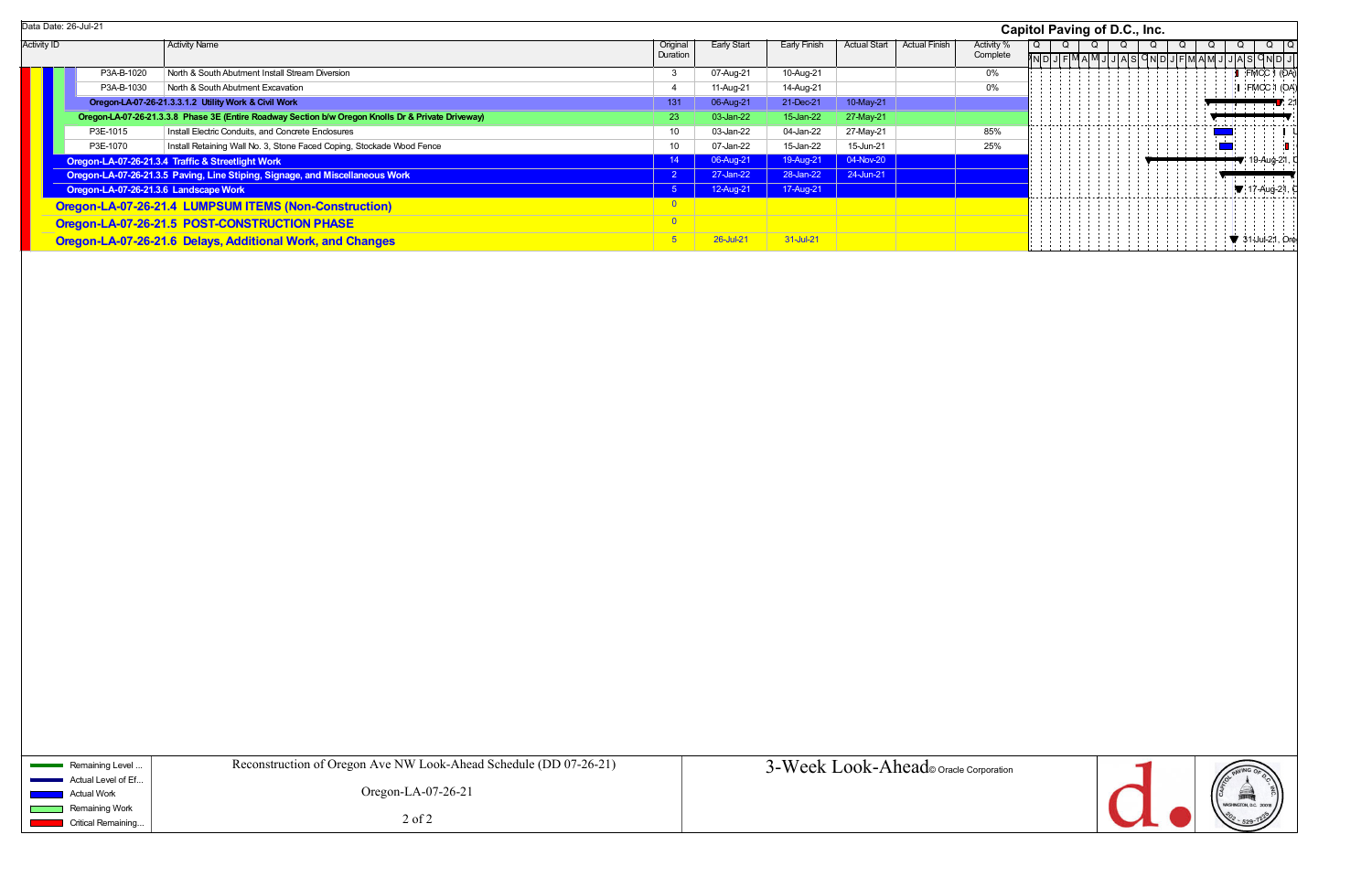|                    | Data Date: 26-Jul-21                  |                                                                                                    |                      |             |              |                     |                      |                        | Capitol Paving of D.C., Inc. |  |   |  |
|--------------------|---------------------------------------|----------------------------------------------------------------------------------------------------|----------------------|-------------|--------------|---------------------|----------------------|------------------------|------------------------------|--|---|--|
| <b>Activity ID</b> |                                       | <b>Activity Name</b>                                                                               | Original<br>Duration | Early Start | Early Finish | <b>Actual Start</b> | <b>Actual Finish</b> | Activity %<br>Complete |                              |  |   |  |
|                    | P3A-B-1020                            | North & South Abutment Install Stream Diversion                                                    | - 3                  | 07-Aug-21   | 10-Aug-21    |                     |                      | 0%                     |                              |  |   |  |
|                    | P3A-B-1030                            | North & South Abutment Excavation                                                                  |                      | 11-Aug-21   | 14-Aug-21    |                     |                      | 0%                     |                              |  |   |  |
|                    |                                       | Oregon-LA-07-26-21.3.3.1.2 Utility Work & Civil Work                                               | 131                  | 06-Aug-21   | 21-Dec-21    | 10-May-21           |                      |                        |                              |  |   |  |
|                    |                                       | Oregon-LA-07-26-21.3.3.8 Phase 3E (Entire Roadway Section b/w Oregon Knolls Dr & Private Driveway) | 23                   | 03-Jan-22   | 15-Jan-22    | 27-May-21           |                      |                        |                              |  |   |  |
|                    | P3E-1015                              | Install Electric Conduits, and Concrete Enclosures                                                 | 10                   | 03-Jan-22   | 04-Jan-22    | 27-May-21           |                      | 85%                    |                              |  |   |  |
|                    | P3E-1070                              | Install Retaining Wall No. 3, Stone Faced Coping, Stockade Wood Fence                              | 10                   | 07-Jan-22   | 15-Jan-22    | 15-Jun-21           |                      | 25%                    |                              |  |   |  |
|                    |                                       | Oregon-LA-07-26-21.3.4 Traffic & Streetlight Work                                                  | 14                   | 06-Aug-21   | 19-Aug-21    | 04-Nov-20           |                      |                        |                              |  |   |  |
|                    |                                       | Oregon-LA-07-26-21.3.5 Paving, Line Stiping, Signage, and Miscellaneous Work                       |                      | 27-Jan-22   | 28-Jan-22    | 24-Jun-21           |                      |                        |                              |  |   |  |
|                    | Oregon-LA-07-26-21.3.6 Landscape Work |                                                                                                    | ್ರ                   | 12-Aug-21   | 17-Aug-21    |                     |                      |                        |                              |  |   |  |
|                    |                                       | Oregon-LA-07-26-21.4 LUMPSUM ITEMS (Non-Construction)                                              |                      |             |              |                     |                      |                        |                              |  |   |  |
|                    |                                       | Oregon-LA-07-26-21.5 POST-CONSTRUCTION PHASE                                                       |                      |             |              |                     |                      |                        |                              |  |   |  |
|                    |                                       | Oregon-LA-07-26-21.6 Delays, Additional Work, and Changes                                          | ာ                    | 26-Jul-21   | 31-Jul-21    |                     |                      |                        |                              |  | . |  |

| apitol Paving of D.C., Inc. |                |                             |   |                |                 |                |  |            |  |   |  |                |                  |                |            |                |     |                        |                 |                   |
|-----------------------------|----------------|-----------------------------|---|----------------|-----------------|----------------|--|------------|--|---|--|----------------|------------------|----------------|------------|----------------|-----|------------------------|-----------------|-------------------|
| o<br>e                      | $\overline{Q}$ | $N$ <sub>D</sub> $\sqrt{2}$ | J | $\overline{Q}$ | $F$ $M$ A $M$ J | $\overline{Q}$ |  | Q<br>J A S |  | Q |  | $\overline{Q}$ | <u>ONDJFMAMJ</u> | $\overline{Q}$ |            | $\overline{Q}$ |     | Q                      | <u>JASQNDIJ</u> | Q                 |
|                             |                |                             |   |                |                 |                |  |            |  |   |  |                |                  |                |            | Ţ,             |     |                        | FMCC 1 (OA)     |                   |
|                             |                |                             |   |                |                 |                |  |            |  |   |  |                |                  |                |            | Ţ              |     |                        | I FMCC 1 (OA)   | $\blacksquare$ 21 |
|                             |                |                             |   |                |                 |                |  |            |  |   |  |                |                  |                |            |                |     |                        |                 |                   |
|                             |                |                             |   |                |                 |                |  |            |  |   |  |                |                  |                |            |                |     |                        |                 | U                 |
|                             |                |                             |   |                |                 |                |  |            |  |   |  |                |                  |                | i li<br>÷. | ľ              |     |                        | 19-Aug-21, C    |                   |
|                             |                |                             |   |                |                 |                |  |            |  |   |  |                |                  |                |            |                |     |                        | ▼ 17-Aug-21, C  |                   |
|                             |                |                             |   |                |                 |                |  |            |  |   |  |                |                  |                |            |                |     |                        |                 |                   |
|                             |                |                             |   |                |                 |                |  |            |  |   |  |                |                  |                |            |                |     |                        | 31-Jul-21, Ore  |                   |
|                             |                |                             |   |                |                 |                |  |            |  |   |  |                |                  |                |            |                |     |                        |                 |                   |
|                             |                |                             |   |                |                 |                |  |            |  |   |  |                |                  |                |            |                |     |                        |                 |                   |
|                             |                |                             |   |                |                 |                |  |            |  |   |  |                |                  |                |            |                |     |                        |                 |                   |
|                             |                |                             |   |                |                 |                |  |            |  |   |  |                |                  |                |            |                |     |                        |                 |                   |
|                             |                |                             |   |                |                 |                |  |            |  |   |  |                |                  |                |            |                |     |                        |                 |                   |
|                             |                |                             |   |                |                 |                |  |            |  |   |  |                |                  |                |            |                |     |                        |                 |                   |
|                             |                |                             |   |                |                 |                |  |            |  |   |  |                |                  |                |            |                |     |                        |                 |                   |
|                             |                |                             |   |                |                 |                |  |            |  |   |  |                |                  |                |            |                |     |                        |                 |                   |
|                             |                |                             |   |                |                 |                |  |            |  |   |  |                |                  |                |            |                |     |                        |                 |                   |
|                             |                |                             |   |                |                 |                |  |            |  |   |  |                |                  |                |            |                |     |                        |                 |                   |
|                             |                |                             |   |                |                 |                |  |            |  |   |  |                |                  |                |            |                |     |                        |                 |                   |
|                             |                |                             |   |                |                 |                |  |            |  |   |  |                |                  |                |            |                |     |                        |                 |                   |
|                             |                |                             |   |                |                 |                |  |            |  |   |  |                |                  |                |            |                |     |                        |                 |                   |
|                             |                |                             |   |                |                 |                |  |            |  |   |  |                |                  |                |            |                |     |                        |                 |                   |
|                             |                |                             |   |                |                 |                |  |            |  |   |  |                |                  |                |            |                |     |                        |                 |                   |
|                             |                |                             |   |                |                 |                |  |            |  |   |  |                |                  |                |            |                |     |                        |                 |                   |
|                             |                |                             |   |                |                 |                |  |            |  |   |  |                |                  |                |            |                |     |                        |                 |                   |
|                             |                |                             |   |                |                 |                |  |            |  |   |  |                |                  |                |            |                |     |                        |                 |                   |
|                             |                |                             |   |                |                 |                |  |            |  |   |  |                |                  |                |            |                |     |                        |                 |                   |
|                             |                |                             |   |                |                 |                |  |            |  |   |  |                |                  |                |            |                |     |                        |                 |                   |
|                             |                |                             |   |                |                 |                |  |            |  |   |  |                |                  |                |            |                |     |                        |                 |                   |
|                             |                |                             |   |                |                 |                |  |            |  |   |  |                |                  |                |            |                |     |                        |                 |                   |
|                             |                |                             |   |                |                 |                |  |            |  |   |  |                |                  |                |            |                |     |                        |                 |                   |
| n                           |                |                             |   |                |                 |                |  |            |  |   |  |                |                  |                |            | PAVING OF      |     |                        |                 |                   |
|                             |                |                             |   |                |                 |                |  |            |  |   |  |                |                  |                | CAPITOL    |                | F   |                        | Ē               |                   |
|                             |                |                             |   |                |                 |                |  | d          |  |   |  |                |                  |                |            |                |     | WASHINGTON, D.C. 20018 |                 |                   |
|                             |                |                             |   |                |                 |                |  |            |  |   |  |                |                  |                |            |                | 529 |                        |                 |                   |

Data Date: 26-Jul-21

| Remaining Level                                | Reconstruction of Oregon Ave NW Look-Ahead Schedule (DD 07-26-21) | 3-Week Look-Ahead oracle Corporation |
|------------------------------------------------|-------------------------------------------------------------------|--------------------------------------|
| Actual Level of Ef<br><b>Contract Contract</b> |                                                                   |                                      |
| Actual Work                                    | Oregon-LA-07-26-21                                                |                                      |
| Remaining Work                                 | $2$ of $2$                                                        |                                      |
| <b>Critical Remaining</b>                      |                                                                   |                                      |
|                                                |                                                                   |                                      |